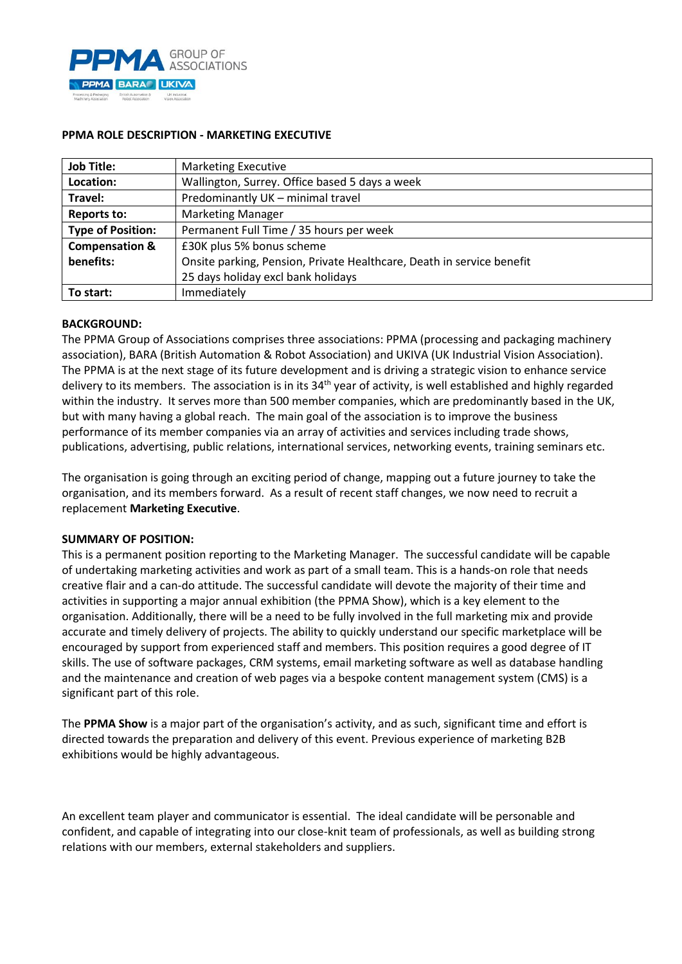

| <b>Job Title:</b>         | <b>Marketing Executive</b>                                            |
|---------------------------|-----------------------------------------------------------------------|
| Location:                 | Wallington, Surrey. Office based 5 days a week                        |
| Travel:                   | Predominantly UK - minimal travel                                     |
| <b>Reports to:</b>        | <b>Marketing Manager</b>                                              |
| <b>Type of Position:</b>  | Permanent Full Time / 35 hours per week                               |
| <b>Compensation &amp;</b> | £30K plus 5% bonus scheme                                             |
| benefits:                 | Onsite parking, Pension, Private Healthcare, Death in service benefit |
|                           | 25 days holiday excl bank holidays                                    |
| To start:                 | Immediately                                                           |

#### **PPMA ROLE DESCRIPTION - MARKETING EXECUTIVE**

#### **BACKGROUND:**

The PPMA Group of Associations comprises three associations: PPMA (processing and packaging machinery association), BARA (British Automation & Robot Association) and UKIVA (UK Industrial Vision Association). The PPMA is at the next stage of its future development and is driving a strategic vision to enhance service delivery to its members. The association is in its 34<sup>th</sup> year of activity, is well established and highly regarded within the industry. It serves more than 500 member companies, which are predominantly based in the UK, but with many having a global reach. The main goal of the association is to improve the business performance of its member companies via an array of activities and services including trade shows, publications, advertising, public relations, international services, networking events, training seminars etc.

The organisation is going through an exciting period of change, mapping out a future journey to take the organisation, and its members forward. As a result of recent staff changes, we now need to recruit a replacement **Marketing Executive**.

#### **SUMMARY OF POSITION:**

This is a permanent position reporting to the Marketing Manager. The successful candidate will be capable of undertaking marketing activities and work as part of a small team. This is a hands-on role that needs creative flair and a can-do attitude. The successful candidate will devote the majority of their time and activities in supporting a major annual exhibition (the PPMA Show), which is a key element to the organisation. Additionally, there will be a need to be fully involved in the full marketing mix and provide accurate and timely delivery of projects. The ability to quickly understand our specific marketplace will be encouraged by support from experienced staff and members. This position requires a good degree of IT skills. The use of software packages, CRM systems, email marketing software as well as database handling and the maintenance and creation of web pages via a bespoke content management system (CMS) is a significant part of this role.

The **PPMA Show** is a major part of the organisation's activity, and as such, significant time and effort is directed towards the preparation and delivery of this event. Previous experience of marketing B2B exhibitions would be highly advantageous.

An excellent team player and communicator is essential. The ideal candidate will be personable and confident, and capable of integrating into our close-knit team of professionals, as well as building strong relations with our members, external stakeholders and suppliers.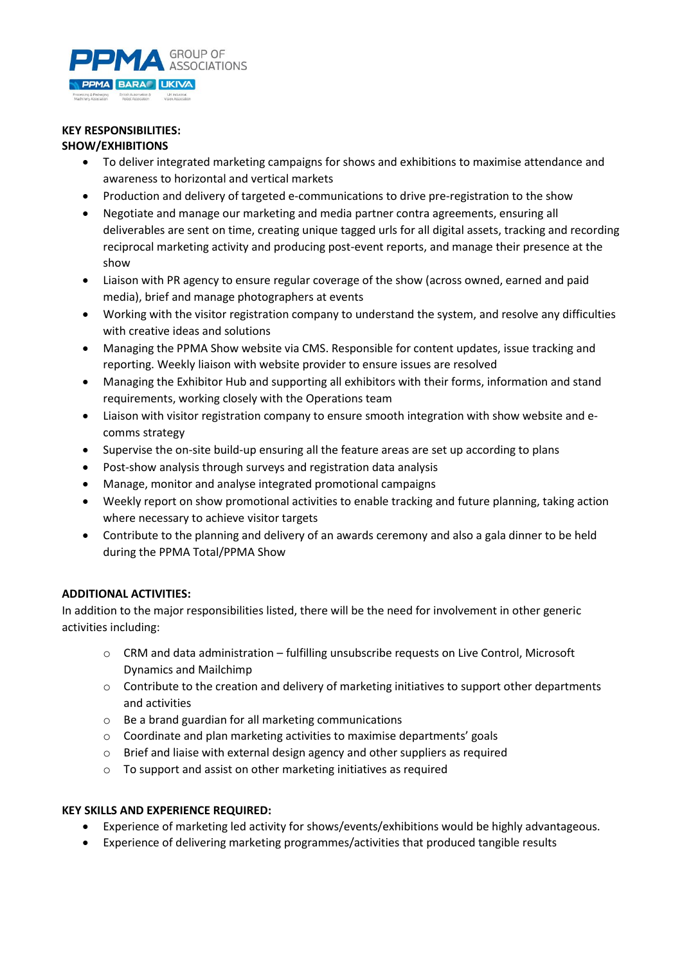

# **KEY RESPONSIBILITIES:**

## **SHOW/EXHIBITIONS**

- To deliver integrated marketing campaigns for shows and exhibitions to maximise attendance and awareness to horizontal and vertical markets
- Production and delivery of targeted e-communications to drive pre-registration to the show
- Negotiate and manage our marketing and media partner contra agreements, ensuring all deliverables are sent on time, creating unique tagged urls for all digital assets, tracking and recording reciprocal marketing activity and producing post-event reports, and manage their presence at the show
- Liaison with PR agency to ensure regular coverage of the show (across owned, earned and paid media), brief and manage photographers at events
- Working with the visitor registration company to understand the system, and resolve any difficulties with creative ideas and solutions
- Managing the PPMA Show website via CMS. Responsible for content updates, issue tracking and reporting. Weekly liaison with website provider to ensure issues are resolved
- Managing the Exhibitor Hub and supporting all exhibitors with their forms, information and stand requirements, working closely with the Operations team
- Liaison with visitor registration company to ensure smooth integration with show website and ecomms strategy
- Supervise the on-site build-up ensuring all the feature areas are set up according to plans
- Post-show analysis through surveys and registration data analysis
- Manage, monitor and analyse integrated promotional campaigns
- Weekly report on show promotional activities to enable tracking and future planning, taking action where necessary to achieve visitor targets
- Contribute to the planning and delivery of an awards ceremony and also a gala dinner to be held during the PPMA Total/PPMA Show

## **ADDITIONAL ACTIVITIES:**

In addition to the major responsibilities listed, there will be the need for involvement in other generic activities including:

- o CRM and data administration fulfilling unsubscribe requests on Live Control, Microsoft Dynamics and Mailchimp
- $\circ$  Contribute to the creation and delivery of marketing initiatives to support other departments and activities
- o Be a brand guardian for all marketing communications
- o Coordinate and plan marketing activities to maximise departments' goals
- o Brief and liaise with external design agency and other suppliers as required
- o To support and assist on other marketing initiatives as required

## **KEY SKILLS AND EXPERIENCE REQUIRED:**

- Experience of marketing led activity for shows/events/exhibitions would be highly advantageous.
- Experience of delivering marketing programmes/activities that produced tangible results